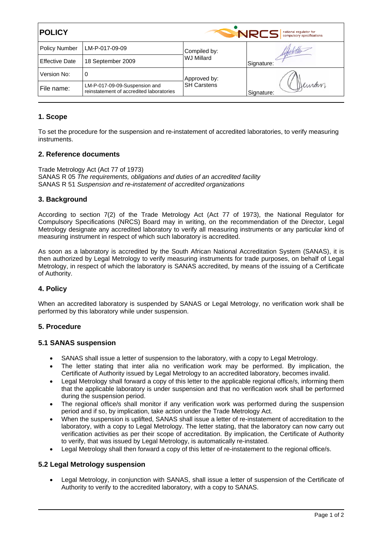| <b>POLICY</b>         |                                                                           | <b>NRCS</b><br>national regulator for<br>compulsory specifications |                     |
|-----------------------|---------------------------------------------------------------------------|--------------------------------------------------------------------|---------------------|
| <b>Policy Number</b>  | LM-P-017-09-09                                                            | Compiled by:<br><b>WJ Millard</b>                                  | Signature:          |
| <b>Effective Date</b> | 18 September 2009                                                         |                                                                    |                     |
| Version No:           | 0                                                                         | Approved by:<br><b>SH Carstens</b>                                 | Jeman<br>Signature: |
| File name:            | LM-P-017-09-09-Suspension and<br>reinstatement of accredited laboratories |                                                                    |                     |

# **1. Scope**

To set the procedure for the suspension and re-instatement of accredited laboratories, to verify measuring instruments.

# **2. Reference documents**

Trade Metrology Act (Act 77 of 1973) SANAS R 05 *The requirements, obligations and duties of an accredited facility*  SANAS R 51 *Suspension and re-instatement of accredited organizations* 

# **3. Background**

According to section 7(2) of the Trade Metrology Act (Act 77 of 1973), the National Regulator for Compulsory Specifications (NRCS) Board may in writing, on the recommendation of the Director, Legal Metrology designate any accredited laboratory to verify all measuring instruments or any particular kind of measuring instrument in respect of which such laboratory is accredited.

As soon as a laboratory is accredited by the South African National Accreditation System (SANAS), it is then authorized by Legal Metrology to verify measuring instruments for trade purposes, on behalf of Legal Metrology, in respect of which the laboratory is SANAS accredited, by means of the issuing of a Certificate of Authority.

# **4. Policy**

When an accredited laboratory is suspended by SANAS or Legal Metrology, no verification work shall be performed by this laboratory while under suspension.

### **5. Procedure**

### **5.1 SANAS suspension**

- SANAS shall issue a letter of suspension to the laboratory, with a copy to Legal Metrology.
- The letter stating that inter alia no verification work may be performed. By implication, the Certificate of Authority issued by Legal Metrology to an accredited laboratory, becomes invalid.
- Legal Metrology shall forward a copy of this letter to the applicable regional office/s, informing them that the applicable laboratory is under suspension and that no verification work shall be performed during the suspension period.
- The regional office/s shall monitor if any verification work was performed during the suspension period and if so, by implication, take action under the Trade Metrology Act.
- When the suspension is uplifted, SANAS shall issue a letter of re-instatement of accreditation to the laboratory, with a copy to Legal Metrology. The letter stating, that the laboratory can now carry out verification activities as per their scope of accreditation. By implication, the Certificate of Authority to verify, that was issued by Legal Metrology, is automatically re-instated.
- Legal Metrology shall then forward a copy of this letter of re-instatement to the regional office/s.

### **5.2 Legal Metrology suspension**

• Legal Metrology, in conjunction with SANAS, shall issue a letter of suspension of the Certificate of Authority to verify to the accredited laboratory, with a copy to SANAS.